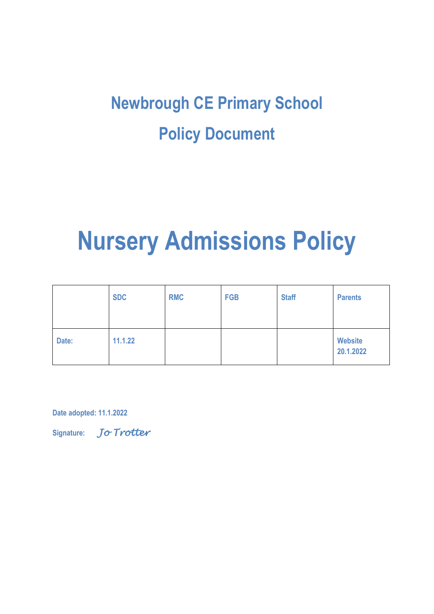## **Newbrough CE Primary School Policy Document**

# **Nursery Admissions Policy**

|       | <b>SDC</b> | <b>RMC</b> | <b>FGB</b> | <b>Staff</b> | <b>Parents</b>              |
|-------|------------|------------|------------|--------------|-----------------------------|
| Date: | 11.1.22    |            |            |              | <b>Website</b><br>20.1.2022 |

**Date adopted: 11.1.2022** 

**Signature:** *Jo Trotter*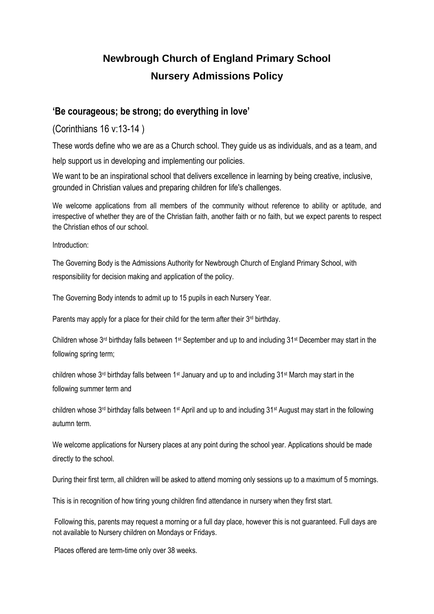### **Newbrough Church of England Primary School Nursery Admissions Policy**

#### **'Be courageous; be strong; do everything in love'**

(Corinthians 16 v:13-14 )

These words define who we are as a Church school. They guide us as individuals, and as a team, and

help support us in developing and implementing our policies.

We want to be an inspirational school that delivers excellence in learning by being creative, inclusive, grounded in Christian values and preparing children for life's challenges.

We welcome applications from all members of the community without reference to ability or aptitude, and irrespective of whether they are of the Christian faith, another faith or no faith, but we expect parents to respect the Christian ethos of our school.

Introduction:

The Governing Body is the Admissions Authority for Newbrough Church of England Primary School, with responsibility for decision making and application of the policy.

The Governing Body intends to admit up to 15 pupils in each Nursery Year.

Parents may apply for a place for their child for the term after their 3<sup>rd</sup> birthday.

Children whose 3rd birthday falls between 1st September and up to and including 31st December may start in the following spring term;

children whose 3rd birthday falls between 1st January and up to and including 31st March may start in the following summer term and

children whose 3rd birthday falls between 1st April and up to and including 31st August may start in the following autumn term.

We welcome applications for Nursery places at any point during the school year. Applications should be made directly to the school.

During their first term, all children will be asked to attend morning only sessions up to a maximum of 5 mornings.

This is in recognition of how tiring young children find attendance in nursery when they first start.

Following this, parents may request a morning or a full day place, however this is not guaranteed. Full days are not available to Nursery children on Mondays or Fridays.

Places offered are term-time only over 38 weeks.